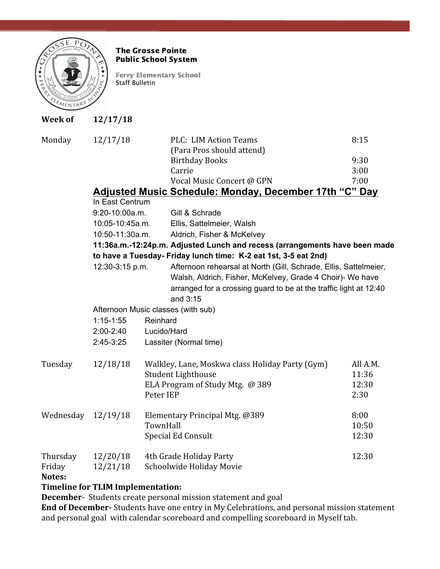

## The Grosse Pointe Public School System

Ferry Elementary School Staff Bulletin

| <b>Week of</b>   | 12/17/18                                                                   |           |                                                                                                                                |                                                 |          |
|------------------|----------------------------------------------------------------------------|-----------|--------------------------------------------------------------------------------------------------------------------------------|-------------------------------------------------|----------|
| Monday           | 12/17/18                                                                   |           | <b>PLC: LIM Action Teams</b><br>(Para Pros should attend)                                                                      | 8:15                                            |          |
|                  |                                                                            |           | <b>Birthday Books</b>                                                                                                          | 9:30                                            |          |
|                  |                                                                            |           | Carrie                                                                                                                         | 3:00                                            |          |
|                  |                                                                            |           | Vocal Music Concert @ GPN                                                                                                      | 7:00                                            |          |
|                  | Adjusted Music Schedule: Monday, December 17th "C" Day                     |           |                                                                                                                                |                                                 |          |
|                  | In East Centrum                                                            |           |                                                                                                                                |                                                 |          |
|                  | 9:20-10:00a.m.                                                             |           | Gill & Schrade                                                                                                                 |                                                 |          |
|                  | 10:05-10:45a.m.                                                            |           | Ellis, Sattelmeier, Walsh                                                                                                      |                                                 |          |
|                  | 10:50-11:30a.m.                                                            |           | Aldrich, Fisher & McKelvey                                                                                                     |                                                 |          |
|                  | 11:36a.m.-12:24p.m. Adjusted Lunch and recess (arrangements have been made |           |                                                                                                                                |                                                 |          |
|                  | to have a Tuesday- Friday lunch time: K-2 eat 1st, 3-5 eat 2nd)            |           |                                                                                                                                |                                                 |          |
|                  | 12:30-3:15 p.m.                                                            |           | Afternoon rehearsal at North (Gill, Schrade, Ellis, Sattelmeier,                                                               |                                                 |          |
|                  |                                                                            |           | Walsh, Aldrich, Fisher, McKelvey, Grade 4 Choir)- We have<br>arranged for a crossing guard to be at the traffic light at 12:40 |                                                 |          |
|                  |                                                                            |           |                                                                                                                                |                                                 |          |
|                  | Afternoon Music classes (with sub)                                         |           |                                                                                                                                |                                                 |          |
|                  | $1:15 - 1:55$                                                              | Reinhard  |                                                                                                                                |                                                 |          |
|                  | $2:00 - 2:40$                                                              |           | Lucido/Hard                                                                                                                    |                                                 |          |
|                  | $2:45-3:25$                                                                |           | Lassiter (Normal time)                                                                                                         |                                                 |          |
|                  | Tuesday                                                                    | 12/18/18  |                                                                                                                                | Walkley, Lane, Moskwa class Holiday Party (Gym) | All A.M. |
|                  |                                                                            |           | Student Lighthouse                                                                                                             | 11:36                                           |          |
|                  |                                                                            |           | ELA Program of Study Mtg. @ 389                                                                                                | 12:30                                           |          |
|                  |                                                                            | Peter IEP |                                                                                                                                | 2:30                                            |          |
| Wednesday        | 12/19/18                                                                   |           | Elementary Principal Mtg. @389                                                                                                 | 8:00                                            |          |
|                  |                                                                            | TownHall  |                                                                                                                                | 10:50                                           |          |
|                  |                                                                            |           | Special Ed Consult                                                                                                             | 12:30                                           |          |
| Thursday         | 12/20/18                                                                   |           | 4th Grade Holiday Party                                                                                                        | 12:30                                           |          |
| Friday<br>Notes: | 12/21/18                                                                   |           | Schoolwide Holiday Movie                                                                                                       |                                                 |          |

## **Timeline for TLIM Implementation:**

**December**- Students create personal mission statement and goal

**End of December-** Students have one entry in My Celebrations, and personal mission statement and personal goal with calendar scoreboard and compelling scoreboard in Myself tab.